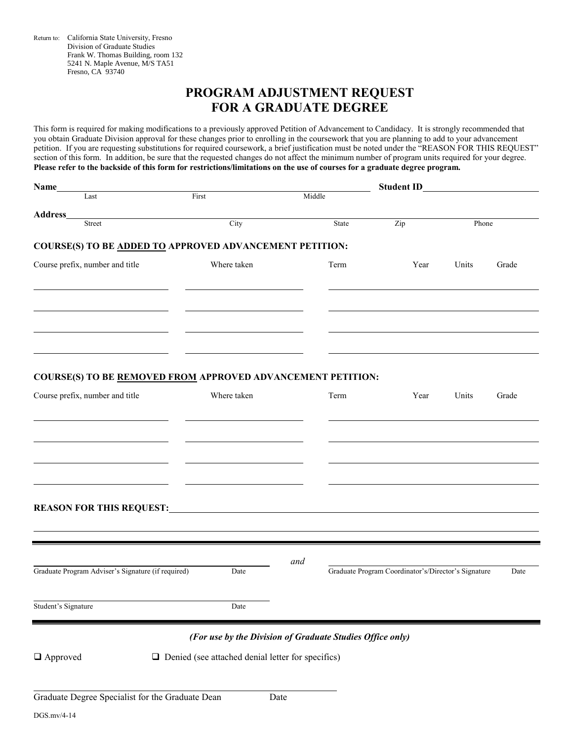Return to: California State University, Fresno Division of Graduate Studies Frank W. Thomas Building, room 132 5241 N. Maple Avenue, M/S TA51 Fresno, CA 93740

# **PROGRAM ADJUSTMENT REQUEST FOR A GRADUATE DEGREE**

This form is required for making modifications to a previously approved Petition of Advancement to Candidacy. It is strongly recommended that you obtain Graduate Division approval for these changes prior to enrolling in the coursework that you are planning to add to your advancement petition. If you are requesting substitutions for required coursework, a brief justification must be noted under the "REASON FOR THIS REQUEST" section of this form. In addition, be sure that the requested changes do not affect the minimum number of program units required for your degree. **Please refer to the backside of this form for restrictions/limitations on the use of courses for a graduate degree program.**

| Name_                                                              |                                                          | <b>Student ID</b>                                         |                                                     |       |       |
|--------------------------------------------------------------------|----------------------------------------------------------|-----------------------------------------------------------|-----------------------------------------------------|-------|-------|
| Last                                                               | First                                                    | Middle                                                    |                                                     |       |       |
| Address_<br>Street                                                 | $\overline{City}$                                        | State                                                     | Zip                                                 | Phone |       |
| <b>COURSE(S) TO BE ADDED TO APPROVED ADVANCEMENT PETITION:</b>     |                                                          |                                                           |                                                     |       |       |
| Course prefix, number and title                                    | Where taken                                              | Term                                                      | Year                                                | Units | Grade |
|                                                                    |                                                          |                                                           |                                                     |       |       |
| <b>COURSE(S) TO BE REMOVED FROM APPROVED ADVANCEMENT PETITION:</b> |                                                          |                                                           |                                                     |       |       |
| Course prefix, number and title                                    | Where taken                                              | Term                                                      | Year                                                | Units | Grade |
|                                                                    |                                                          |                                                           |                                                     |       |       |
|                                                                    |                                                          |                                                           |                                                     |       |       |
|                                                                    |                                                          |                                                           |                                                     |       |       |
|                                                                    |                                                          |                                                           |                                                     |       |       |
|                                                                    |                                                          |                                                           |                                                     |       |       |
|                                                                    |                                                          |                                                           |                                                     |       |       |
|                                                                    |                                                          | and                                                       |                                                     |       |       |
| Graduate Program Adviser's Signature (if required)                 | Date                                                     |                                                           | Graduate Program Coordinator's/Director's Signature |       | Date  |
| Student's Signature                                                | Date                                                     |                                                           |                                                     |       |       |
|                                                                    |                                                          |                                                           |                                                     |       |       |
|                                                                    |                                                          | (For use by the Division of Graduate Studies Office only) |                                                     |       |       |
| $\Box$ Approved                                                    | $\Box$ Denied (see attached denial letter for specifics) |                                                           |                                                     |       |       |